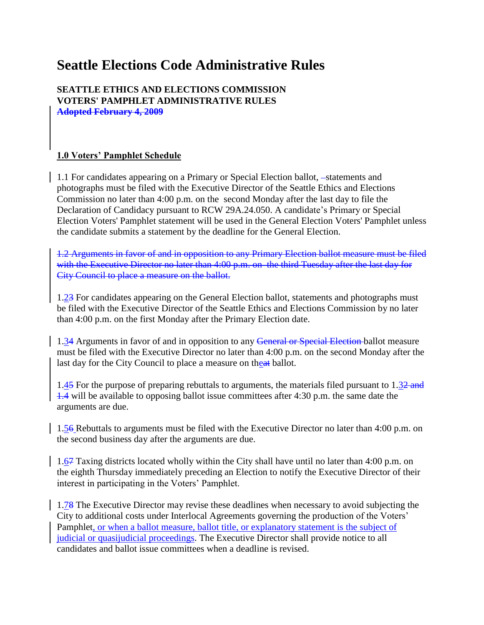# **Seattle Elections Code Administrative Rules**

#### **SEATTLE ETHICS AND ELECTIONS COMMISSION VOTERS' PAMPHLET ADMINISTRATIVE RULES Adopted February 4, 2009**

### **1.0 Voters' Pamphlet Schedule**

1.1 For candidates appearing on a Primary or Special Election ballot, -statements and photographs must be filed with the Executive Director of the Seattle Ethics and Elections Commission no later than 4:00 p.m. on the second Monday after the last day to file the Declaration of Candidacy pursuant to RCW 29A.24.050. A candidate's Primary or Special Election Voters' Pamphlet statement will be used in the General Election Voters' Pamphlet unless the candidate submits a statement by the deadline for the General Election.

1.2 Arguments in favor of and in opposition to any Primary Election ballot measure must be filed with the Executive Director no later than 4:00 p.m. on the third Tuesday after the last day for City Council to place a measure on the ballot.

1.23 For candidates appearing on the General Election ballot, statements and photographs must be filed with the Executive Director of the Seattle Ethics and Elections Commission by no later than 4:00 p.m. on the first Monday after the Primary Election date.

1.34 Arguments in favor of and in opposition to any General or Special Election ballot measure must be filed with the Executive Director no later than 4:00 p.m. on the second Monday after the last day for the City Council to place a measure on theat ballot.

1.45 For the purpose of preparing rebuttals to arguments, the materials filed pursuant to 1.32 and 1.4 will be available to opposing ballot issue committees after 4:30 p.m. the same date the arguments are due.

1.56 Rebuttals to arguments must be filed with the Executive Director no later than 4:00 p.m. on the second business day after the arguments are due.

1.67 Taxing districts located wholly within the City shall have until no later than 4:00 p.m. on the eighth Thursday immediately preceding an Election to notify the Executive Director of their interest in participating in the Voters' Pamphlet.

1.78 The Executive Director may revise these deadlines when necessary to avoid subjecting the City to additional costs under Interlocal Agreements governing the production of the Voters' Pamphlet, or when a ballot measure, ballot title, or explanatory statement is the subject of judicial or quasijudicial proceedings. The Executive Director shall provide notice to all candidates and ballot issue committees when a deadline is revised.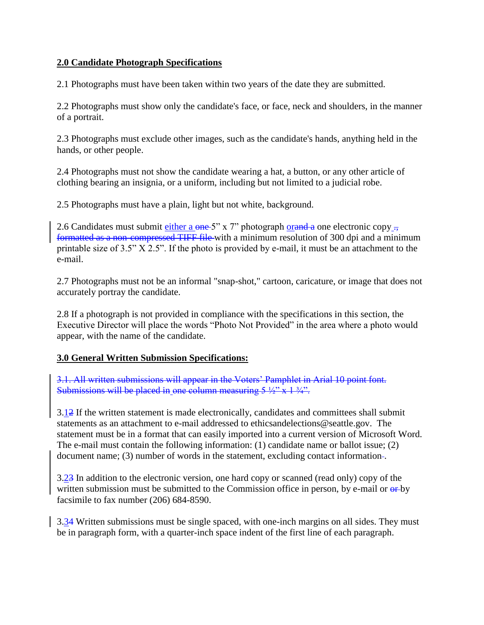### **2.0 Candidate Photograph Specifications**

2.1 Photographs must have been taken within two years of the date they are submitted.

2.2 Photographs must show only the candidate's face, or face, neck and shoulders, in the manner of a portrait.

2.3 Photographs must exclude other images, such as the candidate's hands, anything held in the hands, or other people.

2.4 Photographs must not show the candidate wearing a hat, a button, or any other article of clothing bearing an insignia, or a uniform, including but not limited to a judicial robe.

2.5 Photographs must have a plain, light but not white, background.

2.6 Candidates must submit either a  $\theta$  one 5" x 7" photograph orand a one electronic copy  $\theta$ , formatted as a non-compressed TIFF file with a minimum resolution of 300 dpi and a minimum printable size of 3.5" X 2.5". If the photo is provided by e-mail, it must be an attachment to the e-mail.

2.7 Photographs must not be an informal "snap-shot," cartoon, caricature, or image that does not accurately portray the candidate.

2.8 If a photograph is not provided in compliance with the specifications in this section, the Executive Director will place the words "Photo Not Provided" in the area where a photo would appear, with the name of the candidate.

### **3.0 General Written Submission Specifications:**

3.1. All written submissions will appear in the Voters' Pamphlet in Arial 10 point font. Submissions will be placed in one column measuring  $5\frac{1}{2}$ " x  $1\frac{3}{4}$ ".

3.12 If the written statement is made electronically, candidates and committees shall submit statements as an attachment to e-mail addressed to ethicsandelections@seattle.gov. The statement must be in a format that can easily imported into a current version of Microsoft Word. The e-mail must contain the following information: (1) candidate name or ballot issue; (2) document name; (3) number of words in the statement, excluding contact information-.

3.23 In addition to the electronic version, one hard copy or scanned (read only) copy of the written submission must be submitted to the Commission office in person, by e-mail or  $\theta$ -by facsimile to fax number (206) 684-8590.

3.34 Written submissions must be single spaced, with one-inch margins on all sides. They must be in paragraph form, with a quarter-inch space indent of the first line of each paragraph.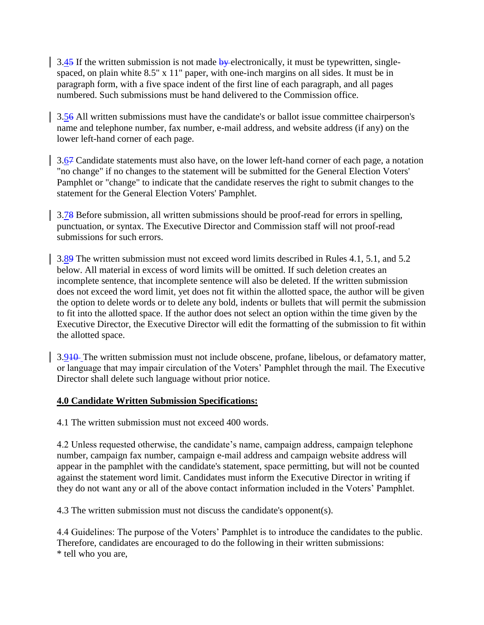$3.45$  If the written submission is not made by electronically, it must be typewritten, singlespaced, on plain white 8.5" x 11" paper, with one-inch margins on all sides. It must be in paragraph form, with a five space indent of the first line of each paragraph, and all pages numbered. Such submissions must be hand delivered to the Commission office.

3.56 All written submissions must have the candidate's or ballot issue committee chairperson's name and telephone number, fax number, e-mail address, and website address (if any) on the lower left-hand corner of each page.

3.67 Candidate statements must also have, on the lower left-hand corner of each page, a notation "no change" if no changes to the statement will be submitted for the General Election Voters' Pamphlet or "change" to indicate that the candidate reserves the right to submit changes to the statement for the General Election Voters' Pamphlet.

3.78 Before submission, all written submissions should be proof-read for errors in spelling, punctuation, or syntax. The Executive Director and Commission staff will not proof-read submissions for such errors.

3.89 The written submission must not exceed word limits described in Rules 4.1, 5.1, and 5.2 below. All material in excess of word limits will be omitted. If such deletion creates an incomplete sentence, that incomplete sentence will also be deleted. If the written submission does not exceed the word limit, yet does not fit within the allotted space, the author will be given the option to delete words or to delete any bold, indents or bullets that will permit the submission to fit into the allotted space. If the author does not select an option within the time given by the Executive Director, the Executive Director will edit the formatting of the submission to fit within the allotted space.

3.910 The written submission must not include obscene, profane, libelous, or defamatory matter, or language that may impair circulation of the Voters' Pamphlet through the mail. The Executive Director shall delete such language without prior notice.

### **4.0 Candidate Written Submission Specifications:**

4.1 The written submission must not exceed 400 words.

4.2 Unless requested otherwise, the candidate's name, campaign address, campaign telephone number, campaign fax number, campaign e-mail address and campaign website address will appear in the pamphlet with the candidate's statement, space permitting, but will not be counted against the statement word limit. Candidates must inform the Executive Director in writing if they do not want any or all of the above contact information included in the Voters' Pamphlet.

4.3 The written submission must not discuss the candidate's opponent(s).

4.4 Guidelines: The purpose of the Voters' Pamphlet is to introduce the candidates to the public. Therefore, candidates are encouraged to do the following in their written submissions: \* tell who you are,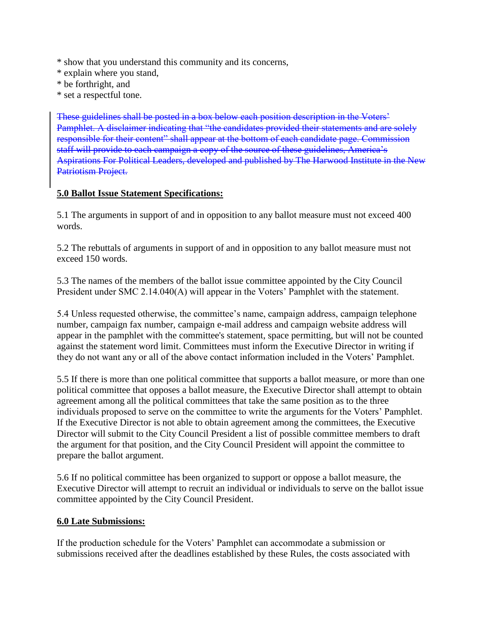\* show that you understand this community and its concerns,

- \* explain where you stand,
- \* be forthright, and
- \* set a respectful tone.

These guidelines shall be posted in a box below each position description in the Voters' Pamphlet. A disclaimer indicating that "the candidates provided their statements and are solely responsible for their content" shall appear at the bottom of each candidate page. Commission staff will provide to each campaign a copy of the source of these guidelines, America's Aspirations For Political Leaders, developed and published by The Harwood Institute in the New Patriotism Project.

### **5.0 Ballot Issue Statement Specifications:**

5.1 The arguments in support of and in opposition to any ballot measure must not exceed 400 words.

5.2 The rebuttals of arguments in support of and in opposition to any ballot measure must not exceed 150 words.

5.3 The names of the members of the ballot issue committee appointed by the City Council President under SMC 2.14.040(A) will appear in the Voters' Pamphlet with the statement.

5.4 Unless requested otherwise, the committee's name, campaign address, campaign telephone number, campaign fax number, campaign e-mail address and campaign website address will appear in the pamphlet with the committee's statement, space permitting, but will not be counted against the statement word limit. Committees must inform the Executive Director in writing if they do not want any or all of the above contact information included in the Voters' Pamphlet.

5.5 If there is more than one political committee that supports a ballot measure, or more than one political committee that opposes a ballot measure, the Executive Director shall attempt to obtain agreement among all the political committees that take the same position as to the three individuals proposed to serve on the committee to write the arguments for the Voters' Pamphlet. If the Executive Director is not able to obtain agreement among the committees, the Executive Director will submit to the City Council President a list of possible committee members to draft the argument for that position, and the City Council President will appoint the committee to prepare the ballot argument.

5.6 If no political committee has been organized to support or oppose a ballot measure, the Executive Director will attempt to recruit an individual or individuals to serve on the ballot issue committee appointed by the City Council President.

#### **6.0 Late Submissions:**

If the production schedule for the Voters' Pamphlet can accommodate a submission or submissions received after the deadlines established by these Rules, the costs associated with